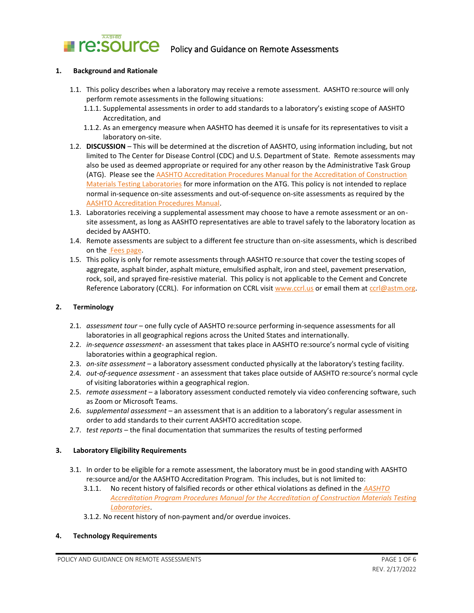

### **1. Background and Rationale**

- 1.1. This policy describes when a laboratory may receive a remote assessment. AASHTO re:source will only perform remote assessments in the following situations:
	- 1.1.1. Supplemental assessments in order to add standards to a laboratory's existing scope of AASHTO Accreditation, and
	- 1.1.2. As an emergency measure when AASHTO has deemed it is unsafe for its representatives to visit a laboratory on-site.
- 1.2. **DISCUSSION** This will be determined at the discretion of AASHTO, using information including, but not limited to The Center for Disease Control (CDC) and U.S. Department of State. Remote assessments may also be used as deemed appropriate or required for any other reason by the Administrative Task Group (ATG). Please see the [AASHTO Accreditation Procedures Manual for the Accreditation of Construction](http://aashtoresource.org/docs/default-source/publicdocuments/aap-procedures-manual.pdf?sfvrsn=19)  [Materials Testing Laboratories](http://aashtoresource.org/docs/default-source/publicdocuments/aap-procedures-manual.pdf?sfvrsn=19) for more information on the ATG. This policy is not intended to replace normal in-sequence on-site assessments and out-of-sequence on-site assessments as required by the **[AASHTO Accreditation Procedures Manual.](http://aashtoresource.org/docs/default-source/publicdocuments/aap-procedures-manual.pdf)**
- 1.3. Laboratories receiving a supplemental assessment may choose to have a remote assessment or an onsite assessment, as long as AASHTO representatives are able to travel safely to the laboratory location as decided by AASHTO.
- 1.4. Remote assessments are subject to a different fee structure than on-site assessments, which is described on th[e Fees page.](http://aashtoresource.org/lap/tests-and-fees)
- 1.5. This policy is only for remote assessments through AASHTO re:source that cover the testing scopes of aggregate, asphalt binder, asphalt mixture, emulsified asphalt, iron and steel, pavement preservation, rock, soil, and sprayed fire-resistive material. This policy is not applicable to the Cement and Concrete Reference Laboratory (CCRL). For information on CCRL visi[t www.ccrl.us](http://www.ccrl.us/) or email them a[t ccrl@astm.org.](mailto:ccrl@astm.org)

#### **2. Terminology**

- 2.1. *assessment tour* one fully cycle of AASHTO re:source performing in-sequence assessments for all laboratories in all geographical regions across the United States and internationally.
- 2.2. *in-sequence assessment-* an assessment that takes place in AASHTO re:source's normal cycle of visiting laboratories within a geographical region.
- 2.3. *on-site assessment* a laboratory assessment conducted physically at the laboratory's testing facility.
- 2.4. *out-of-sequence assessment* an assessment that takes place outside of AASHTO re:source's normal cycle of visiting laboratories within a geographical region.
- 2.5. *remote assessment* a laboratory assessment conducted remotely via video conferencing software, such as Zoom or Microsoft Teams.
- 2.6. *supplemental assessment* an assessment that is an addition to a laboratory's regular assessment in order to add standards to their current AASHTO accreditation scope.
- 2.7. *test reports* the final documentation that summarizes the results of testing performed

### **3. Laboratory Eligibility Requirements**

- 3.1. In order to be eligible for a remote assessment, the laboratory must be in good standing with AASHTO re:source and/or the AASHTO Accreditation Program. This includes, but is not limited to:
	- 3.1.1. No recent history of falsified records or other ethical violations as defined in the *[AASHTO](http://www.aashtoresource.org/docs/default-source/publicdocuments/aap-procedures-manual.pdf?sfvrsn=19)  [Accreditation Program Procedures Manual for the Accreditation of Construction Materials Testing](http://www.aashtoresource.org/docs/default-source/publicdocuments/aap-procedures-manual.pdf?sfvrsn=19)  [Laboratories](http://www.aashtoresource.org/docs/default-source/publicdocuments/aap-procedures-manual.pdf?sfvrsn=19)*.
	- 3.1.2. No recent history of non-payment and/or overdue invoices.

### **4. Technology Requirements**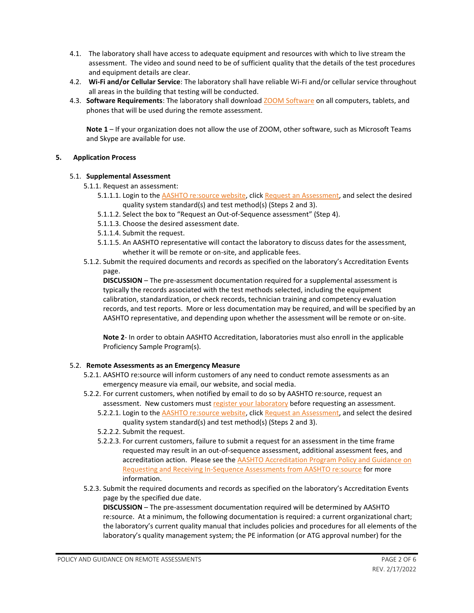- 4.1. The laboratory shall have access to adequate equipment and resources with which to live stream the assessment. The video and sound need to be of sufficient quality that the details of the test procedures and equipment details are clear.
- 4.2. **Wi-Fi and/or Cellular Service**: The laboratory shall have reliable Wi-Fi and/or cellular service throughout all areas in the building that testing will be conducted.
- 4.3. **Software Requirements**: The laboratory shall downloa[d ZOOM Software](https://zoom.us/) on all computers, tablets, and phones that will be used during the remote assessment.

**Note 1** – If your organization does not allow the use of ZOOM, other software, such as Microsoft Teams and Skype are available for use.

# **5. Application Process**

### 5.1. **Supplemental Assessment**

- 5.1.1. Request an assessment:
	- 5.1.1.1. Login to the [AASHTO re:source website,](http://www.aashtoresource.org/) click [Request an Assessment,](http://aashtoresource.org/lap/assessment) and select the desired quality system standard(s) and test method(s) (Steps 2 and 3).
	- 5.1.1.2. Select the box to "Request an Out-of-Sequence assessment" (Step 4).
	- 5.1.1.3. Choose the desired assessment date.
	- 5.1.1.4. Submit the request.
	- 5.1.1.5. An AASHTO representative will contact the laboratory to discuss dates for the assessment, whether it will be remote or on-site, and applicable fees.
- 5.1.2. Submit the required documents and records as specified on the laboratory's Accreditation Events page.

**DISCUSSION** – The pre-assessment documentation required for a supplemental assessment is typically the records associated with the test methods selected, including the equipment calibration, standardization, or check records, technician training and competency evaluation records, and test reports. More or less documentation may be required, and will be specified by an AASHTO representative, and depending upon whether the assessment will be remote or on-site.

**Note 2**- In order to obtain AASHTO Accreditation, laboratories must also enroll in the applicable Proficiency Sample Program(s).

### 5.2. **Remote Assessments as an Emergency Measure**

- 5.2.1. AASHTO re:source will inform customers of any need to conduct remote assessments as an emergency measure via email, our website, and social media.
- 5.2.2. For current customers, when notified by email to do so by AASHTO re:source, request an assessment. New customers must [register your laboratory](http://aashtoresource.org/registration/request) before requesting an assessment.
	- 5.2.2.1. Login to the [AASHTO re:source website,](http://www.aashtoresource.org/) click [Request an Assessment,](http://aashtoresource.org/lap/assessment) and select the desired quality system standard(s) and test method(s) (Steps 2 and 3).
	- 5.2.2.2. Submit the request.
	- 5.2.2.3. For current customers, failure to submit a request for an assessment in the time frame requested may result in an out-of-sequence assessment, additional assessment fees, and accreditation action. Please see the [AASHTO Accreditation Program Policy and Guidance on](http://aashtoresource.org/docs/default-source/publicdocuments/aashto-accreditation-program-policy-and-guidance-on-requesting-and-receiving-in-sequence-assessments-from-aashto-resource.pdf)  [Requesting and Receiving In-Sequence Assessments from AASHTO re:source](http://aashtoresource.org/docs/default-source/publicdocuments/aashto-accreditation-program-policy-and-guidance-on-requesting-and-receiving-in-sequence-assessments-from-aashto-resource.pdf) for more information.
- 5.2.3. Submit the required documents and records as specified on the laboratory's Accreditation Events page by the specified due date.

**DISCUSSION** – The pre-assessment documentation required will be determined by AASHTO re:source. At a minimum, the following documentation is required: a current organizational chart; the laboratory's current quality manual that includes policies and procedures for all elements of the laboratory's quality management system; the PE information (or ATG approval number) for the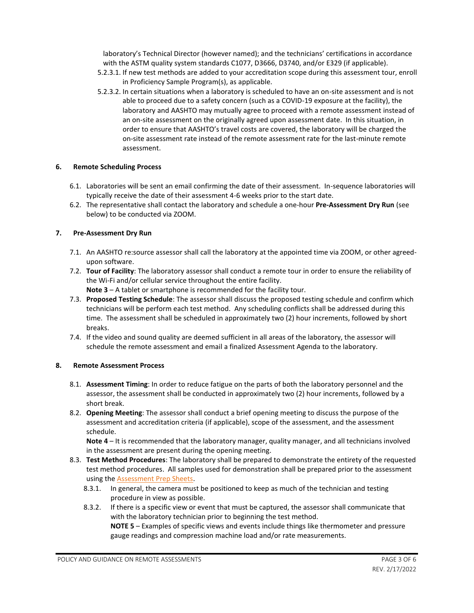laboratory's Technical Director (however named); and the technicians' certifications in accordance with the ASTM quality system standards C1077, D3666, D3740, and/or E329 (if applicable).

- 5.2.3.1. If new test methods are added to your accreditation scope during this assessment tour, enroll in Proficiency Sample Program(s), as applicable.
- 5.2.3.2. In certain situations when a laboratory is scheduled to have an on-site assessment and is not able to proceed due to a safety concern (such as a COVID-19 exposure at the facility), the laboratory and AASHTO may mutually agree to proceed with a remote assessment instead of an on-site assessment on the originally agreed upon assessment date. In this situation, in order to ensure that AASHTO's travel costs are covered, the laboratory will be charged the on-site assessment rate instead of the remote assessment rate for the last-minute remote assessment.

### **6. Remote Scheduling Process**

- 6.1. Laboratories will be sent an email confirming the date of their assessment. In-sequence laboratories will typically receive the date of their assessment 4-6 weeks prior to the start date.
- 6.2. The representative shall contact the laboratory and schedule a one-hour **Pre-Assessment Dry Run** (see below) to be conducted via ZOOM.

# **7. Pre-Assessment Dry Run**

- 7.1. An AASHTO re:source assessor shall call the laboratory at the appointed time via ZOOM, or other agreedupon software.
- 7.2. **Tour of Facility**: The laboratory assessor shall conduct a remote tour in order to ensure the reliability of the Wi-Fi and/or cellular service throughout the entire facility.
	- **Note 3** A tablet or smartphone is recommended for the facility tour.
- 7.3. **Proposed Testing Schedule**: The assessor shall discuss the proposed testing schedule and confirm which technicians will be perform each test method. Any scheduling conflicts shall be addressed during this time. The assessment shall be scheduled in approximately two (2) hour increments, followed by short breaks.
- 7.4. If the video and sound quality are deemed sufficient in all areas of the laboratory, the assessor will schedule the remote assessment and email a finalized Assessment Agenda to the laboratory.

### **8. Remote Assessment Process**

- 8.1. **Assessment Timing**: In order to reduce fatigue on the parts of both the laboratory personnel and the assessor, the assessment shall be conducted in approximately two (2) hour increments, followed by a short break.
- 8.2. **Opening Meeting**: The assessor shall conduct a brief opening meeting to discuss the purpose of the assessment and accreditation criteria (if applicable), scope of the assessment, and the assessment schedule.

**Note 4** – It is recommended that the laboratory manager, quality manager, and all technicians involved in the assessment are present during the opening meeting.

- 8.3. **Test Method Procedures**: The laboratory shall be prepared to demonstrate the entirety of the requested test method procedures. All samples used for demonstration shall be prepared prior to the assessment using the [Assessment Prep Sheets.](http://www.aashtoresource.org/university/document-library#Assessment)
	- 8.3.1. In general, the camera must be positioned to keep as much of the technician and testing procedure in view as possible.
	- 8.3.2. If there is a specific view or event that must be captured, the assessor shall communicate that with the laboratory technician prior to beginning the test method.

**NOTE 5** – Examples of specific views and events include things like thermometer and pressure gauge readings and compression machine load and/or rate measurements.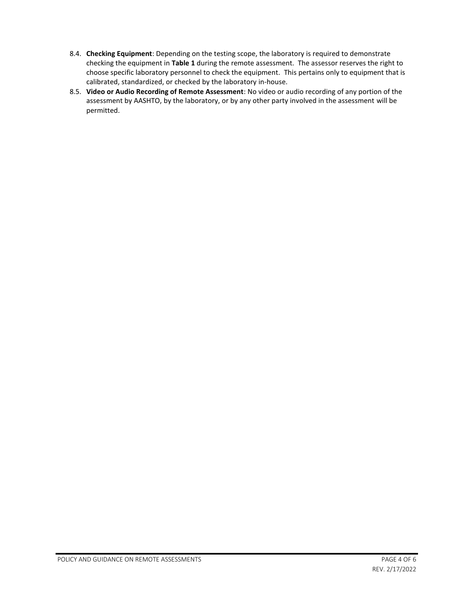- 8.4. **Checking Equipment**: Depending on the testing scope, the laboratory is required to demonstrate checking the equipment in **Table 1** during the remote assessment. The assessor reserves the right to choose specific laboratory personnel to check the equipment. This pertains only to equipment that is calibrated, standardized, or checked by the laboratory in-house.
- 8.5. **Video or Audio Recording of Remote Assessment**: No video or audio recording of any portion of the assessment by AASHTO, by the laboratory, or by any other party involved in the assessment will be permitted.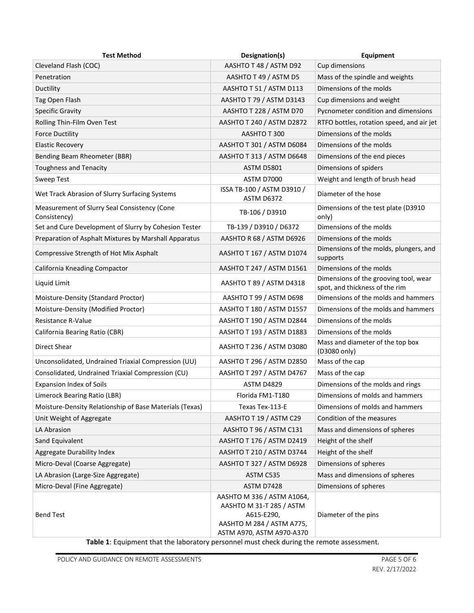| <b>Test Method</b>                                                                       | Designation(s)                                                                                                                 | Equipment                                                               |
|------------------------------------------------------------------------------------------|--------------------------------------------------------------------------------------------------------------------------------|-------------------------------------------------------------------------|
| Cleveland Flash (COC)                                                                    | AASHTO T 48 / ASTM D92                                                                                                         | Cup dimensions                                                          |
| Penetration                                                                              | AASHTO T 49 / ASTM D5                                                                                                          | Mass of the spindle and weights                                         |
| Ductility                                                                                | AASHTO T 51 / ASTM D113                                                                                                        | Dimensions of the molds                                                 |
| Tag Open Flash                                                                           | AASHTO T 79 / ASTM D3143                                                                                                       | Cup dimensions and weight                                               |
| <b>Specific Gravity</b>                                                                  | AASHTO T 228 / ASTM D70                                                                                                        | Pycnometer condition and dimensions                                     |
| Rolling Thin-Film Oven Test                                                              | AASHTO T 240 / ASTM D2872                                                                                                      | RTFO bottles, rotation speed, and air jet                               |
| <b>Force Ductility</b>                                                                   | AASHTO T 300                                                                                                                   | Dimensions of the molds                                                 |
| <b>Elastic Recovery</b>                                                                  | AASHTO T 301 / ASTM D6084                                                                                                      | Dimensions of the molds                                                 |
| Bending Beam Rheometer (BBR)                                                             | AASHTO T 313 / ASTM D6648                                                                                                      | Dimensions of the end pieces                                            |
| <b>Toughness and Tenacity</b>                                                            | <b>ASTM D5801</b>                                                                                                              | Dimensions of spiders                                                   |
| Sweep Test                                                                               | ASTM D7000                                                                                                                     | Weight and length of brush head                                         |
| Wet Track Abrasion of Slurry Surfacing Systems                                           | ISSA TB-100 / ASTM D3910 /<br><b>ASTM D6372</b>                                                                                | Diameter of the hose                                                    |
| Measurement of Slurry Seal Consistency (Cone<br>Consistency)                             | TB-106 / D3910                                                                                                                 | Dimensions of the test plate (D3910<br>only)                            |
| Set and Cure Development of Slurry by Cohesion Tester                                    | TB-139 / D3910 / D6372                                                                                                         | Dimensions of the molds                                                 |
| Preparation of Asphalt Mixtures by Marshall Apparatus                                    | AASHTO R 68 / ASTM D6926                                                                                                       | Dimensions of the molds                                                 |
| Compressive Strength of Hot Mix Asphalt                                                  | AASHTO T 167 / ASTM D1074                                                                                                      | Dimensions of the molds, plungers, and<br>supports                      |
| California Kneading Compactor                                                            | AASHTO T 247 / ASTM D1561                                                                                                      | Dimensions of the molds                                                 |
| Liquid Limit                                                                             | AASHTO T 89 / ASTM D4318                                                                                                       | Dimensions of the grooving tool, wear<br>spot, and thickness of the rim |
| Moisture-Density (Standard Proctor)                                                      | AASHTO T 99 / ASTM D698                                                                                                        | Dimensions of the molds and hammers                                     |
| Moisture-Density (Modified Proctor)                                                      | AASHTO T 180 / ASTM D1557                                                                                                      | Dimensions of the molds and hammers                                     |
| Resistance R-Value                                                                       | AASHTO T 190 / ASTM D2844                                                                                                      | Dimensions of the molds                                                 |
| California Bearing Ratio (CBR)                                                           | AASHTO T 193 / ASTM D1883                                                                                                      | Dimensions of the molds                                                 |
| Direct Shear                                                                             | AASHTO T 236 / ASTM D3080                                                                                                      | Mass and diameter of the top box<br>(D3080 only)                        |
| Unconsolidated, Undrained Triaxial Compression (UU)                                      | AASHTO T 296 / ASTM D2850                                                                                                      | Mass of the cap                                                         |
| Consolidated, Undrained Triaxial Compression (CU)                                        | AASHTO T 297 / ASTM D4767                                                                                                      | Mass of the cap                                                         |
| <b>Expansion Index of Soils</b>                                                          | <b>ASTM D4829</b>                                                                                                              | Dimensions of the molds and rings                                       |
| Limerock Bearing Ratio (LBR)                                                             | Florida FM1-T180                                                                                                               | Dimensions of molds and hammers                                         |
| Moisture-Density Relationship of Base Materials (Texas)                                  | Texas Tex-113-E                                                                                                                | Dimensions of molds and hammers                                         |
| Unit Weight of Aggregate                                                                 | AASHTO T 19 / ASTM C29                                                                                                         | Condition of the measures                                               |
| LA Abrasion                                                                              | AASHTO T 96 / ASTM C131                                                                                                        | Mass and dimensions of spheres                                          |
| Sand Equivalent                                                                          | AASHTO T 176 / ASTM D2419                                                                                                      | Height of the shelf                                                     |
| <b>Aggregate Durability Index</b>                                                        | AASHTO T 210 / ASTM D3744                                                                                                      | Height of the shelf                                                     |
| Micro-Deval (Coarse Aggregate)                                                           | AASHTO T 327 / ASTM D6928                                                                                                      | Dimensions of spheres                                                   |
| LA Abrasion (Large-Size Aggregate)                                                       | ASTM C535                                                                                                                      | Mass and dimensions of spheres                                          |
| Micro-Deval (Fine Aggregate)                                                             | <b>ASTM D7428</b>                                                                                                              | Dimensions of spheres                                                   |
| <b>Bend Test</b>                                                                         | AASHTO M 336 / ASTM A1064,<br>AASHTO M 31-T 285 / ASTM<br>A615-E290,<br>AASHTO M 284 / ASTM A775,<br>ASTM A970, ASTM A970-A370 | Diameter of the pins                                                    |
| Table 1: Equipment that the laboratory percennal must sheek during the remate assessment |                                                                                                                                |                                                                         |

**Table 1**: Equipment that the laboratory personnel must check during the remote assessment.